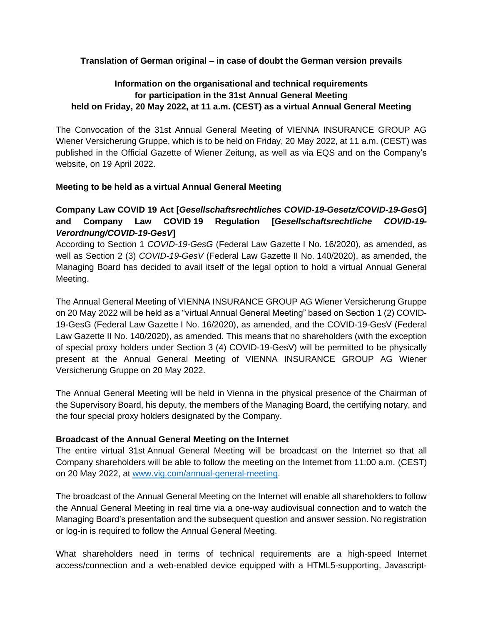### **Translation of German original – in case of doubt the German version prevails**

# **Information on the organisational and technical requirements for participation in the 31st Annual General Meeting held on Friday, 20 May 2022, at 11 a.m. (CEST) as a virtual Annual General Meeting**

The Convocation of the 31st Annual General Meeting of VIENNA INSURANCE GROUP AG Wiener Versicherung Gruppe, which is to be held on Friday, 20 May 2022, at 11 a.m. (CEST) was published in the Official Gazette of Wiener Zeitung, as well as via EQS and on the Company's website, on 19 April 2022.

### **Meeting to be held as a virtual Annual General Meeting**

# **Company Law COVID 19 Act [***Gesellschaftsrechtliches COVID-19-Gesetz/COVID-19-GesG***] and Company Law COVID 19 Regulation [***Gesellschaftsrechtliche COVID-19- Verordnung/COVID-19-GesV***]**

According to Section 1 *COVID-19-GesG* (Federal Law Gazette I No. 16/2020), as amended, as well as Section 2 (3) *COVID-19-GesV* (Federal Law Gazette II No. 140/2020), as amended, the Managing Board has decided to avail itself of the legal option to hold a virtual Annual General Meeting.

The Annual General Meeting of VIENNA INSURANCE GROUP AG Wiener Versicherung Gruppe on 20 May 2022 will be held as a "virtual Annual General Meeting" based on Section 1 (2) COVID-19-GesG (Federal Law Gazette I No. 16/2020), as amended, and the COVID-19-GesV (Federal Law Gazette II No. 140/2020), as amended. This means that no shareholders (with the exception of special proxy holders under Section 3 (4) COVID-19-GesV) will be permitted to be physically present at the Annual General Meeting of VIENNA INSURANCE GROUP AG Wiener Versicherung Gruppe on 20 May 2022.

The Annual General Meeting will be held in Vienna in the physical presence of the Chairman of the Supervisory Board, his deputy, the members of the Managing Board, the certifying notary, and the four special proxy holders designated by the Company.

### **Broadcast of the Annual General Meeting on the Internet**

The entire virtual 31st Annual General Meeting will be broadcast on the Internet so that all Company shareholders will be able to follow the meeting on the Internet from 11:00 a.m. (CEST) on 20 May 2022, at [www.vig.com/annual-general-meeting.](http://www.vig.com/annual-general-meeting)

The broadcast of the Annual General Meeting on the Internet will enable all shareholders to follow the Annual General Meeting in real time via a one-way audiovisual connection and to watch the Managing Board's presentation and the subsequent question and answer session. No registration or log-in is required to follow the Annual General Meeting.

What shareholders need in terms of technical requirements are a high-speed Internet access/connection and a web-enabled device equipped with a HTML5-supporting, Javascript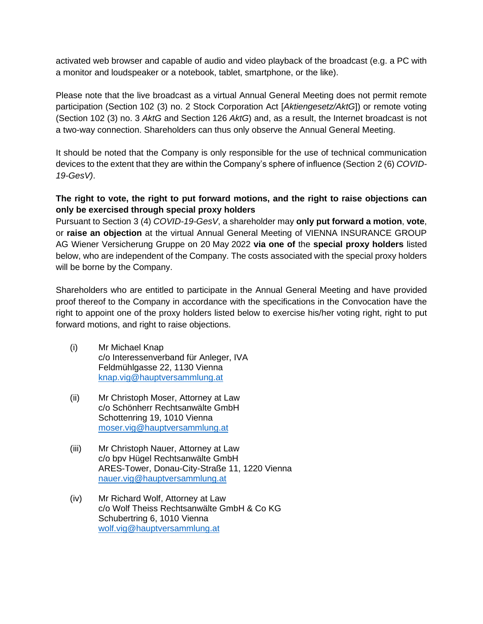activated web browser and capable of audio and video playback of the broadcast (e.g. a PC with a monitor and loudspeaker or a notebook, tablet, smartphone, or the like).

Please note that the live broadcast as a virtual Annual General Meeting does not permit remote participation (Section 102 (3) no. 2 Stock Corporation Act [*Aktiengesetz/AktG*]) or remote voting (Section 102 (3) no. 3 *AktG* and Section 126 *AktG*) and, as a result, the Internet broadcast is not a two-way connection. Shareholders can thus only observe the Annual General Meeting.

It should be noted that the Company is only responsible for the use of technical communication devices to the extent that they are within the Company's sphere of influence (Section 2 (6) *COVID-19-GesV)*.

# **The right to vote, the right to put forward motions, and the right to raise objections can only be exercised through special proxy holders**

Pursuant to Section 3 (4) *COVID-19-GesV*, a shareholder may **only put forward a motion**, **vote**, or **raise an objection** at the virtual Annual General Meeting of VIENNA INSURANCE GROUP AG Wiener Versicherung Gruppe on 20 May 2022 **via one of** the **special proxy holders** listed below, who are independent of the Company. The costs associated with the special proxy holders will be borne by the Company.

Shareholders who are entitled to participate in the Annual General Meeting and have provided proof thereof to the Company in accordance with the specifications in the Convocation have the right to appoint one of the proxy holders listed below to exercise his/her voting right, right to put forward motions, and right to raise objections.

- (i) Mr Michael Knap c/o Interessenverband für Anleger, IVA Feldmühlgasse 22, 1130 Vienna [knap.vig@hauptversammlung.at](mailto:knap.vig@hauptversammlung.at)
- (ii) Mr Christoph Moser, Attorney at Law c/o Schönherr Rechtsanwälte GmbH Schottenring 19, 1010 Vienna [moser.vig@hauptversammlung.at](mailto:moser.vig@hauptversammlung.at)
- (iii) Mr Christoph Nauer, Attorney at Law c/o bpv Hügel Rechtsanwälte GmbH ARES-Tower, Donau-City-Straße 11, 1220 Vienna [nauer.vig@hauptversammlung.at](mailto:nauer.vig@hauptversammlung.at)
- (iv) Mr Richard Wolf, Attorney at Law c/o Wolf Theiss Rechtsanwälte GmbH & Co KG Schubertring 6, 1010 Vienna [wolf.vig@hauptversammlung.at](mailto:wolf.vig@hauptversammlung.at)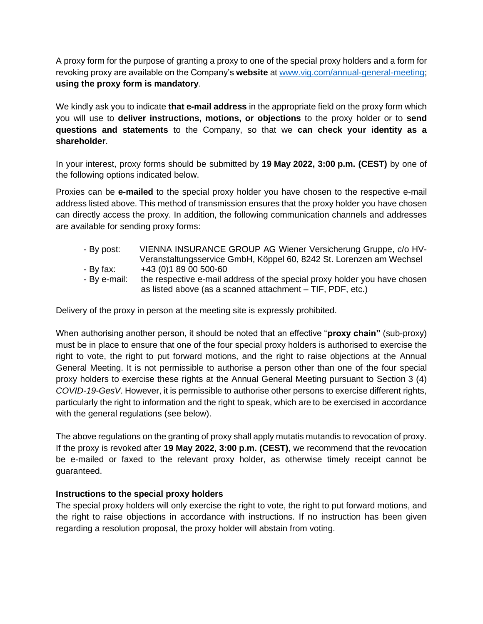A proxy form for the purpose of granting a proxy to one of the special proxy holders and a form for revoking proxy are available on the Company's **website** at [www.vig.com/annual-general-meeting;](http://www.vig.com/annual-general-meeting) **using the proxy form is mandatory**.

We kindly ask you to indicate **that e-mail address** in the appropriate field on the proxy form which you will use to **deliver instructions, motions, or objections** to the proxy holder or to **send questions and statements** to the Company, so that we **can check your identity as a shareholder**.

In your interest, proxy forms should be submitted by **19 May 2022, 3:00 p.m. (CEST)** by one of the following options indicated below.

Proxies can be **e-mailed** to the special proxy holder you have chosen to the respective e-mail address listed above. This method of transmission ensures that the proxy holder you have chosen can directly access the proxy. In addition, the following communication channels and addresses are available for sending proxy forms:

- By post: VIENNA INSURANCE GROUP AG Wiener Versicherung Gruppe, c/o HV-Veranstaltungsservice GmbH, Köppel 60, 8242 St. Lorenzen am Wechsel
- By fax: +43 (0)1 89 00 500-60
- By e-mail: the respective e-mail address of the special proxy holder you have chosen as listed above (as a scanned attachment – TIF, PDF, etc.)

Delivery of the proxy in person at the meeting site is expressly prohibited.

When authorising another person, it should be noted that an effective "**proxy chain"** (sub-proxy) must be in place to ensure that one of the four special proxy holders is authorised to exercise the right to vote, the right to put forward motions, and the right to raise objections at the Annual General Meeting. It is not permissible to authorise a person other than one of the four special proxy holders to exercise these rights at the Annual General Meeting pursuant to Section 3 (4) *COVID-19-GesV*. However, it is permissible to authorise other persons to exercise different rights, particularly the right to information and the right to speak, which are to be exercised in accordance with the general regulations (see below).

The above regulations on the granting of proxy shall apply mutatis mutandis to revocation of proxy. If the proxy is revoked after **19 May 2022**, **3:00 p.m. (CEST)**, we recommend that the revocation be e-mailed or faxed to the relevant proxy holder, as otherwise timely receipt cannot be guaranteed.

### **Instructions to the special proxy holders**

The special proxy holders will only exercise the right to vote, the right to put forward motions, and the right to raise objections in accordance with instructions. If no instruction has been given regarding a resolution proposal, the proxy holder will abstain from voting.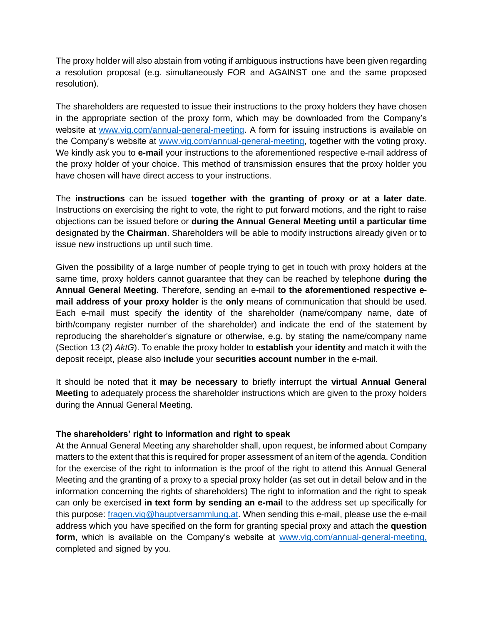The proxy holder will also abstain from voting if ambiguous instructions have been given regarding a resolution proposal (e.g. simultaneously FOR and AGAINST one and the same proposed resolution).

The shareholders are requested to issue their instructions to the proxy holders they have chosen in the appropriate section of the proxy form, which may be downloaded from the Company's website at [www.vig.com/annual-general-meeting.](http://www.vig.com/annual-general-meeting) A form for issuing instructions is available on the Company's website at [www.vig.com/annual-general-meeting,](http://www.vig.com/annual-general-meeting) together with the voting proxy. We kindly ask you to **e-mail** your instructions to the aforementioned respective e-mail address of the proxy holder of your choice. This method of transmission ensures that the proxy holder you have chosen will have direct access to your instructions.

The **instructions** can be issued **together with the granting of proxy or at a later date**. Instructions on exercising the right to vote, the right to put forward motions, and the right to raise objections can be issued before or **during the Annual General Meeting until a particular time** designated by the **Chairman**. Shareholders will be able to modify instructions already given or to issue new instructions up until such time.

Given the possibility of a large number of people trying to get in touch with proxy holders at the same time, proxy holders cannot guarantee that they can be reached by telephone **during the Annual General Meeting**. Therefore, sending an e-mail **to the aforementioned respective email address of your proxy holder** is the **only** means of communication that should be used. Each e-mail must specify the identity of the shareholder (name/company name, date of birth/company register number of the shareholder) and indicate the end of the statement by reproducing the shareholder's signature or otherwise, e.g. by stating the name/company name (Section 13 (2) *AktG*). To enable the proxy holder to **establish** your **identity** and match it with the deposit receipt, please also **include** your **securities account number** in the e-mail.

It should be noted that it **may be necessary** to briefly interrupt the **virtual Annual General Meeting** to adequately process the shareholder instructions which are given to the proxy holders during the Annual General Meeting.

### **The shareholders' right to information and right to speak**

At the Annual General Meeting any shareholder shall, upon request, be informed about Company matters to the extent that this is required for proper assessment of an item of the agenda. Condition for the exercise of the right to information is the proof of the right to attend this Annual General Meeting and the granting of a proxy to a special proxy holder (as set out in detail below and in the information concerning the rights of shareholders) The right to information and the right to speak can only be exercised **in text form by sending an e-mail** to the address set up specifically for this purpose: [fragen.vig@hauptversammlung.at.](mailto:fragen.vig@hauptversammlung.at) When sending this e-mail, please use the e-mail address which you have specified on the form for granting special proxy and attach the **question**  form, which is available on the Company's website at [www.vig.com/annual-general-meeting,](http://www.vig.com/annual-general-meeting) completed and signed by you.